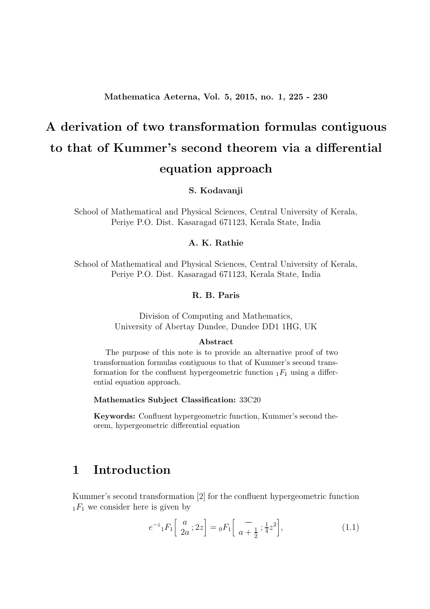# A derivation of two transformation formulas contiguous to that of Kummer's second theorem via a differential equation approach

S. Kodavanji

School of Mathematical and Physical Sciences, Central University of Kerala, Periye P.O. Dist. Kasaragad 671123, Kerala State, India

#### A. K. Rathie

School of Mathematical and Physical Sciences, Central University of Kerala, Periye P.O. Dist. Kasaragad 671123, Kerala State, India

#### R. B. Paris

Division of Computing and Mathematics, University of Abertay Dundee, Dundee DD1 1HG, UK

#### Abstract

The purpose of this note is to provide an alternative proof of two transformation formulas contiguous to that of Kummer's second transformation for the confluent hypergeometric function  $_1F_1$  using a differential equation approach.

Mathematics Subject Classification: 33C20

Keywords: Confluent hypergeometric function, Kummer's second theorem, hypergeometric differential equation

## 1 Introduction

Kummer's second transformation [2] for the confluent hypergeometric function  $_1F_1$  we consider here is given by

$$
e^{-z} {}_1F_1\left[\begin{array}{c} a \\ 2a \end{array}; 2z\right] = {}_0F_1\left[\begin{array}{c} - \\ a + \frac{1}{2} \end{array}; \frac{1}{4}z^2\right],\tag{1.1}
$$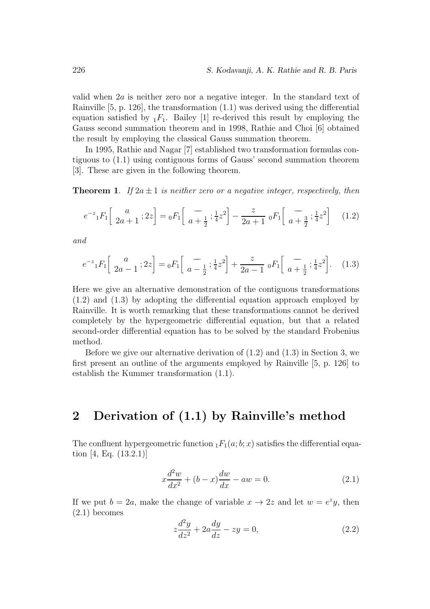valid when 2a is neither zero nor a negative integer. In the standard text of Rainville [5, p. 126], the transformation (1.1) was derived using the differential equation satisfied by  $_1F_1$ . Bailey [1] re-derived this result by employing the Gauss second summation theorem and in 1998, Rathie and Choi [6] obtained the result by employing the classical Gauss summation theorem.

In 1995, Rathie and Nagar [7] established two transformation formulas contiguous to (1.1) using contiguous forms of Gauss' second summation theorem [3]. These are given in the following theorem.

**Theorem 1.** If  $2a \pm 1$  is neither zero or a negative integer, respectively, then

$$
e^{-z} {}_1F_1\left[\begin{array}{c} a \\ 2a+1 \end{array}; 2z\right] = {}_0F_1\left[\begin{array}{c} - \\ a+\frac{1}{2} \end{array}; \frac{1}{4}z^2\right] - \frac{z}{2a+1} {}_0F_1\left[\begin{array}{c} - \\ a+\frac{3}{2} \end{array}; \frac{1}{4}z^2\right] \tag{1.2}
$$

and

$$
e^{-z} {}_1F_1\left[\begin{array}{c} a \\ 2a-1 \end{array}; 2z\right] = {}_0F_1\left[\begin{array}{c} - \\ a-\frac{1}{2} \end{array}; \frac{1}{4}z^2\right] + \frac{z}{2a-1} {}_0F_1\left[\begin{array}{c} - \\ a+\frac{1}{2} \end{array}; \frac{1}{4}z^2\right]. \tag{1.3}
$$

Here we give an alternative demonstration of the contiguous transformations (1.2) and (1.3) by adopting the differential equation approach employed by Rainville. It is worth remarking that these transformations cannot be derived completely by the hypergeometric differential equation, but that a related second-order differential equation has to be solved by the standard Frobenius method.

Before we give our alternative derivation of  $(1.2)$  and  $(1.3)$  in Section 3, we first present an outline of the arguments employed by Rainville [5, p. 126] to establish the Kummer transformation (1.1).

## 2 Derivation of (1.1) by Rainville's method

The confluent hypergeometric function  $_1F_1(a;b;x)$  satisfies the differential equation [4, Eq. (13.2.1)]

$$
x\frac{d^2w}{dx^2} + (b-x)\frac{dw}{dx} - aw = 0.
$$
 (2.1)

If we put  $b = 2a$ , make the change of variable  $x \to 2z$  and let  $w = e^z y$ , then (2.1) becomes

$$
z\frac{d^2y}{dz^2} + 2a\frac{dy}{dz} - zy = 0,
$$
\n
$$
(2.2)
$$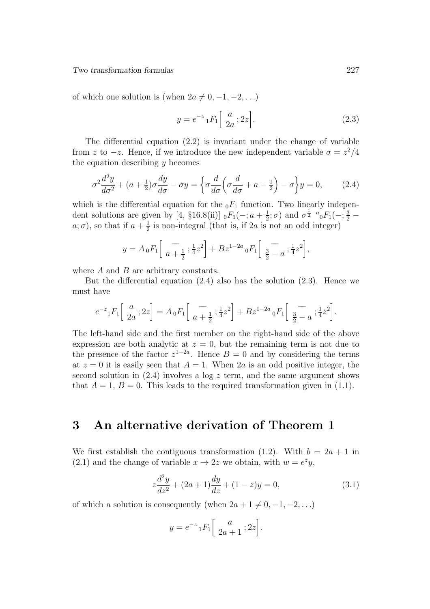Two transformation formulas 227

of which one solution is (when  $2a \neq 0, -1, -2, \ldots$ )

$$
y = e^{-z} {}_1F_1 \left[ \begin{array}{c} a \\ 2a \end{array}; 2z \right]. \tag{2.3}
$$

The differential equation (2.2) is invariant under the change of variable from z to  $-z$ . Hence, if we introduce the new independent variable  $\sigma = z^2/4$ the equation describing  $y$  becomes

$$
\sigma^2 \frac{d^2 y}{d\sigma^2} + (a + \frac{1}{2})\sigma \frac{dy}{d\sigma} - \sigma y = \left\{ \sigma \frac{d}{d\sigma} \left( \sigma \frac{d}{d\sigma} + a - \frac{1}{2} \right) - \sigma \right\} y = 0, \quad (2.4)
$$

which is the differential equation for the  $_0F_1$  function. Two linearly independent solutions are given by [4, §16.8(ii)]  $_0F_1(-;a+\frac{1}{2})$  $(\frac{1}{2}; \sigma)$  and  $\sigma^{\frac{1}{2} - a}$  of  $F_1(-; \frac{3}{2} (a; \sigma)$ , so that if  $a + \frac{1}{2}$  $\frac{1}{2}$  is non-integral (that is, if 2*a* is not an odd integer)

$$
y = A_0 F_1 \left[ \frac{-}{a + \frac{1}{2}}; \frac{1}{4} z^2 \right] + B z^{1 - 2a} {}_0 F_1 \left[ \frac{-}{\frac{3}{2} - a}; \frac{1}{4} z^2 \right],
$$

where  $A$  and  $B$  are arbitrary constants.

But the differential equation  $(2.4)$  also has the solution  $(2.3)$ . Hence we must have

$$
e^{-z} {}_1F_1\Big[\begin{array}{c} a \\ 2a \end{array}; 2z \Big] = A {}_0F_1\Big[\begin{array}{c} - \\ a+\frac{1}{2} \end{array}; \frac{1}{4}z^2 \Big] + B z^{1-2a} {}_0F_1\Big[\begin{array}{c} - \\ \frac{3}{2}-a \end{array}; \frac{1}{4}z^2 \Big].
$$

The left-hand side and the first member on the right-hand side of the above expression are both analytic at  $z = 0$ , but the remaining term is not due to the presence of the factor  $z^{1-2a}$ . Hence  $B = 0$  and by considering the terms at  $z = 0$  it is easily seen that  $A = 1$ . When 2a is an odd positive integer, the second solution in  $(2.4)$  involves a log z term, and the same argument shows that  $A = 1, B = 0$ . This leads to the required transformation given in (1.1).

### 3 An alternative derivation of Theorem 1

We first establish the contiguous transformation (1.2). With  $b = 2a + 1$  in (2.1) and the change of variable  $x \to 2z$  we obtain, with  $w = e^z y$ ,

$$
z\frac{d^2y}{dz^2} + (2a+1)\frac{dy}{dz} + (1-z)y = 0,
$$
\n(3.1)

of which a solution is consequently (when  $2a + 1 \neq 0, -1, -2, \ldots$ )

$$
y = e^{-z} {}_1F_1\left[\begin{array}{c} a \\ 2a+1 \end{array}; 2z\right].
$$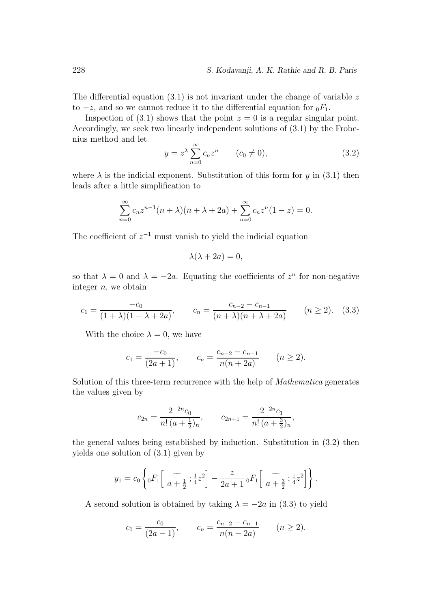The differential equation  $(3.1)$  is not invariant under the change of variable z to  $-z$ , and so we cannot reduce it to the differential equation for  $_0F_1$ .

Inspection of (3.1) shows that the point  $z = 0$  is a regular singular point. Accordingly, we seek two linearly independent solutions of (3.1) by the Frobenius method and let

$$
y = z^{\lambda} \sum_{n=0}^{\infty} c_n z^n \qquad (c_0 \neq 0), \tag{3.2}
$$

where  $\lambda$  is the indicial exponent. Substitution of this form for y in (3.1) then leads after a little simplification to

$$
\sum_{n=0}^{\infty} c_n z^{n-1} (n + \lambda)(n + \lambda + 2a) + \sum_{n=0}^{\infty} c_n z^n (1 - z) = 0.
$$

The coefficient of  $z^{-1}$  must vanish to yield the indicial equation

$$
\lambda(\lambda + 2a) = 0,
$$

so that  $\lambda = 0$  and  $\lambda = -2a$ . Equating the coefficients of  $z^n$  for non-negative integer  $n$ , we obtain

$$
c_1 = \frac{-c_0}{(1+\lambda)(1+\lambda+2a)}, \qquad c_n = \frac{c_{n-2} - c_{n-1}}{(n+\lambda)(n+\lambda+2a)} \qquad (n \ge 2). \tag{3.3}
$$

With the choice  $\lambda = 0$ , we have

$$
c_1 = \frac{-c_0}{(2a+1)},
$$
  $c_n = \frac{c_{n-2} - c_{n-1}}{n(n+2a)}$   $(n \ge 2).$ 

Solution of this three-term recurrence with the help of Mathematica generates the values given by

$$
c_{2n} = \frac{2^{-2n}c_0}{n!\,(a+\frac{1}{2})_n}, \qquad c_{2n+1} = \frac{2^{-2n}c_1}{n!\,(a+\frac{3}{2})_n},
$$

the general values being established by induction. Substitution in (3.2) then yields one solution of (3.1) given by

$$
y_1 = c_0 \left\{ {}_0F_1 \left[ \frac{-}{a + \frac{1}{2}}; \frac{1}{4}z^2 \right] - \frac{z}{2a + 1} {}_0F_1 \left[ \frac{-}{a + \frac{3}{2}}; \frac{1}{4}z^2 \right] \right\}.
$$

A second solution is obtained by taking  $\lambda = -2a$  in (3.3) to yield

$$
c_1 = \frac{c_0}{(2a-1)},
$$
  $c_n = \frac{c_{n-2} - c_{n-1}}{n(n-2a)}$   $(n \ge 2).$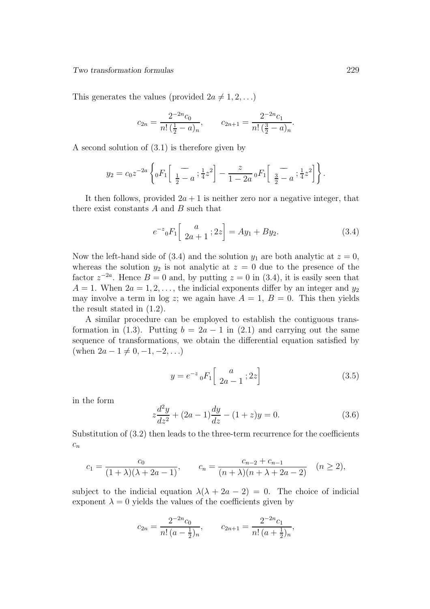This generates the values (provided  $2a \neq 1, 2, \ldots$ )

$$
c_{2n} = \frac{2^{-2n}c_0}{n!\left(\frac{1}{2} - a\right)_n}, \qquad c_{2n+1} = \frac{2^{-2n}c_1}{n!\left(\frac{3}{2} - a\right)_n}.
$$

A second solution of (3.1) is therefore given by

$$
y_2 = c_0 z^{-2a} \left\{ {}_0F_1 \left[ \frac{-}{\frac{1}{2} - a} ; \frac{1}{4} z^2 \right] - \frac{z}{1 - 2a} {}_0F_1 \left[ \frac{-}{\frac{3}{2} - a} ; \frac{1}{4} z^2 \right] \right\}.
$$

It then follows, provided  $2a + 1$  is neither zero nor a negative integer, that there exist constants  $A$  and  $B$  such that

$$
e^{-z} {}_0F_1\left[\begin{array}{c} a \\ 2a+1 \end{array}; 2z\right] = Ay_1 + By_2. \tag{3.4}
$$

Now the left-hand side of (3.4) and the solution  $y_1$  are both analytic at  $z = 0$ , whereas the solution  $y_2$  is not analytic at  $z = 0$  due to the presence of the factor  $z^{-2a}$ . Hence  $B = 0$  and, by putting  $z = 0$  in (3.4), it is easily seen that  $A = 1$ . When  $2a = 1, 2, \ldots$ , the indicial exponents differ by an integer and  $y_2$ may involve a term in log z; we again have  $A = 1, B = 0$ . This then yields the result stated in (1.2).

A similar procedure can be employed to establish the contiguous transformation in (1.3). Putting  $b = 2a - 1$  in (2.1) and carrying out the same sequence of transformations, we obtain the differential equation satisfied by (when  $2a - 1 \neq 0, -1, -2, \ldots$ )

$$
y = e^{-z} {}_0F_1 \left[ \begin{array}{c} a \\ 2a - 1 \end{array} ; 2z \right] \tag{3.5}
$$

in the form

$$
z\frac{d^2y}{dz^2} + (2a - 1)\frac{dy}{dz} - (1 + z)y = 0.
$$
 (3.6)

Substitution of (3.2) then leads to the three-term recurrence for the coefficients  $c_n$ 

$$
c_1 = \frac{c_0}{(1+\lambda)(\lambda+2a-1)}, \qquad c_n = \frac{c_{n-2} + c_{n-1}}{(n+\lambda)(n+\lambda+2a-2)} \quad (n \ge 2),
$$

subject to the indicial equation  $\lambda(\lambda + 2a - 2) = 0$ . The choice of indicial exponent  $\lambda = 0$  yields the values of the coefficients given by

$$
c_{2n} = \frac{2^{-2n}c_0}{n!\left(a - \frac{1}{2}\right)_n}, \qquad c_{2n+1} = \frac{2^{-2n}c_1}{n!\left(a + \frac{1}{2}\right)_n},
$$